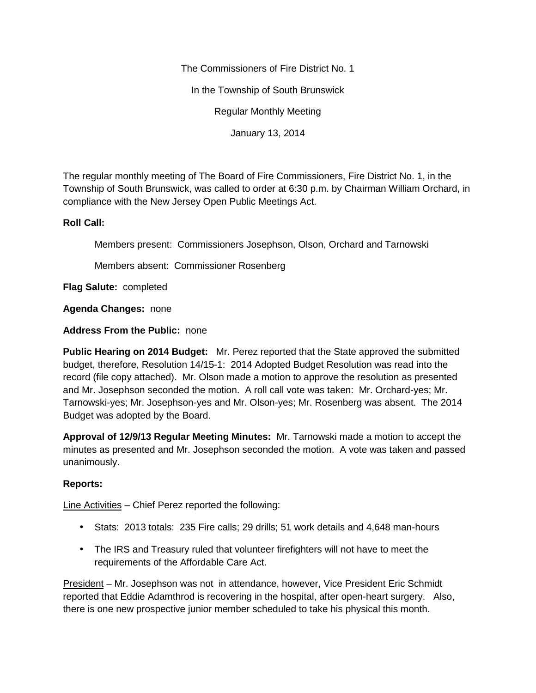The Commissioners of Fire District No. 1

In the Township of South Brunswick

Regular Monthly Meeting

January 13, 2014

The regular monthly meeting of The Board of Fire Commissioners, Fire District No. 1, in the Township of South Brunswick, was called to order at 6:30 p.m. by Chairman William Orchard, in compliance with the New Jersey Open Public Meetings Act.

## **Roll Call:**

Members present: Commissioners Josephson, Olson, Orchard and Tarnowski

Members absent: Commissioner Rosenberg

**Flag Salute:** completed

**Agenda Changes:** none

## **Address From the Public:** none

**Public Hearing on 2014 Budget:** Mr. Perez reported that the State approved the submitted budget, therefore, Resolution 14/15-1: 2014 Adopted Budget Resolution was read into the record (file copy attached). Mr. Olson made a motion to approve the resolution as presented and Mr. Josephson seconded the motion. A roll call vote was taken: Mr. Orchard-yes; Mr. Tarnowski-yes; Mr. Josephson-yes and Mr. Olson-yes; Mr. Rosenberg was absent. The 2014 Budget was adopted by the Board.

**Approval of 12/9/13 Regular Meeting Minutes:** Mr. Tarnowski made a motion to accept the minutes as presented and Mr. Josephson seconded the motion. A vote was taken and passed unanimously.

## **Reports:**

Line Activities – Chief Perez reported the following:

- Stats: 2013 totals: 235 Fire calls; 29 drills; 51 work details and 4,648 man-hours
- The IRS and Treasury ruled that volunteer firefighters will not have to meet the requirements of the Affordable Care Act.

President – Mr. Josephson was not in attendance, however, Vice President Eric Schmidt reported that Eddie Adamthrod is recovering in the hospital, after open-heart surgery. Also, there is one new prospective junior member scheduled to take his physical this month.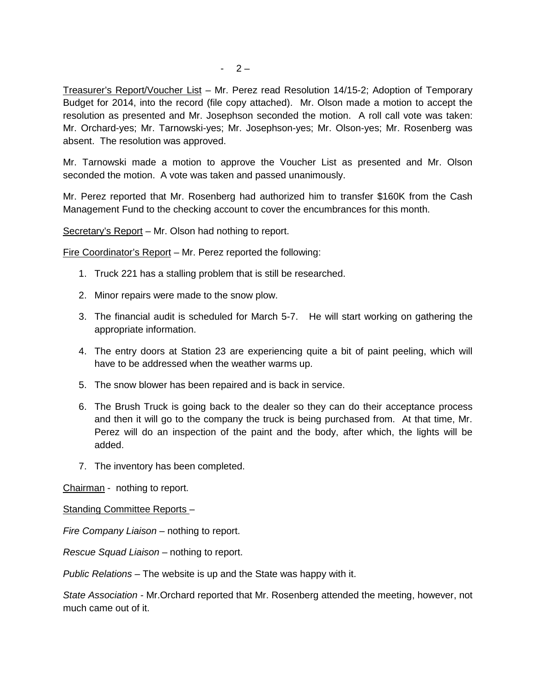Treasurer's Report/Voucher List – Mr. Perez read Resolution 14/15-2; Adoption of Temporary Budget for 2014, into the record (file copy attached). Mr. Olson made a motion to accept the resolution as presented and Mr. Josephson seconded the motion. A roll call vote was taken: Mr. Orchard-yes; Mr. Tarnowski-yes; Mr. Josephson-yes; Mr. Olson-yes; Mr. Rosenberg was absent. The resolution was approved.

Mr. Tarnowski made a motion to approve the Voucher List as presented and Mr. Olson seconded the motion. A vote was taken and passed unanimously.

Mr. Perez reported that Mr. Rosenberg had authorized him to transfer \$160K from the Cash Management Fund to the checking account to cover the encumbrances for this month.

Secretary's Report - Mr. Olson had nothing to report.

Fire Coordinator's Report – Mr. Perez reported the following:

- 1. Truck 221 has a stalling problem that is still be researched.
- 2. Minor repairs were made to the snow plow.
- 3. The financial audit is scheduled for March 5-7. He will start working on gathering the appropriate information.
- 4. The entry doors at Station 23 are experiencing quite a bit of paint peeling, which will have to be addressed when the weather warms up.
- 5. The snow blower has been repaired and is back in service.
- 6. The Brush Truck is going back to the dealer so they can do their acceptance process and then it will go to the company the truck is being purchased from. At that time, Mr. Perez will do an inspection of the paint and the body, after which, the lights will be added.
- 7. The inventory has been completed.

Chairman - nothing to report.

Standing Committee Reports –

*Fire Company Liaison –* nothing to report.

*Rescue Squad Liaison –* nothing to report.

*Public Relations –* The website is up and the State was happy with it.

*State Association -* Mr.Orchard reported that Mr. Rosenberg attended the meeting, however, not much came out of it.